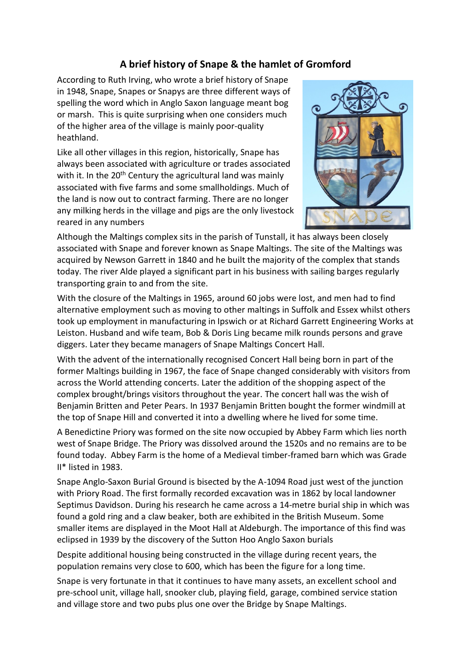## **A brief history of Snape & the hamlet of Gromford**

According to Ruth Irving, who wrote a brief history of Snape in 1948, Snape, Snapes or Snapys are three different ways of spelling the word which in Anglo Saxon language meant bog or marsh. This is quite surprising when one considers much of the higher area of the village is mainly poor-quality heathland.

Like all other villages in this region, historically, Snape has always been associated with agriculture or trades associated with it. In the 20<sup>th</sup> Century the agricultural land was mainly associated with five farms and some smallholdings. Much of the land is now out to contract farming. There are no longer any milking herds in the village and pigs are the only livestock reared in any numbers



Although the Maltings complex sits in the parish of Tunstall, it has always been closely associated with Snape and forever known as Snape Maltings. The site of the Maltings was acquired by Newson Garrett in 1840 and he built the majority of the complex that stands today. The river Alde played a significant part in his business with sailing barges regularly transporting grain to and from the site.

With the closure of the Maltings in 1965, around 60 jobs were lost, and men had to find alternative employment such as moving to other maltings in Suffolk and Essex whilst others took up employment in manufacturing in Ipswich or at Richard Garrett Engineering Works at Leiston. Husband and wife team, Bob & Doris Ling became milk rounds persons and grave diggers. Later they became managers of Snape Maltings Concert Hall.

With the advent of the internationally recognised Concert Hall being born in part of the former Maltings building in 1967, the face of Snape changed considerably with visitors from across the World attending concerts. Later the addition of the shopping aspect of the complex brought/brings visitors throughout the year. The concert hall was the wish of Benjamin Britten and Peter Pears. In 1937 Benjamin Britten bought the former windmill at the top of Snape Hill and converted it into a dwelling where he lived for some time.

A Benedictine Priory was formed on the site now occupied by Abbey Farm which lies north west of Snape Bridge. The Priory was dissolved around the 1520s and no remains are to be found today. Abbey Farm is the home of a Medieval timber-framed barn which was Grade II\* listed in 1983.

Snape Anglo-Saxon Burial Ground is bisected by the A-1094 Road just west of the junction with Priory Road. The first formally recorded excavation was in 1862 by local landowner Septimus Davidson. During his research he came across a 14-metre burial ship in which was found a gold ring and a claw beaker, both are exhibited in the British Museum. Some smaller items are displayed in the Moot Hall at Aldeburgh. The importance of this find was eclipsed in 1939 by the discovery of the Sutton Hoo Anglo Saxon burials

Despite additional housing being constructed in the village during recent years, the population remains very close to 600, which has been the figure for a long time.

Snape is very fortunate in that it continues to have many assets, an excellent school and pre-school unit, village hall, snooker club, playing field, garage, combined service station and village store and two pubs plus one over the Bridge by Snape Maltings.